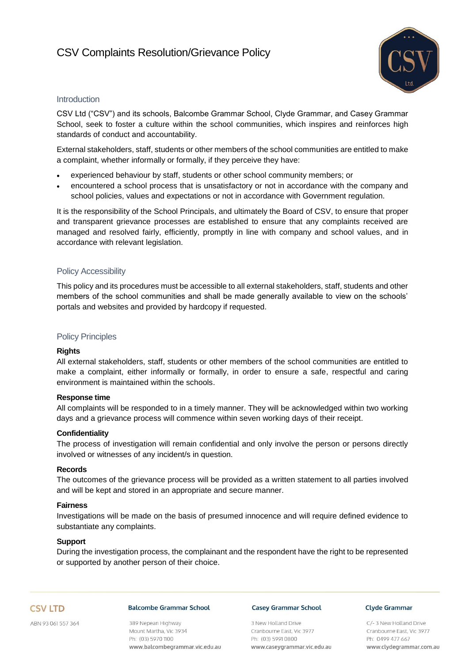# CSV Complaints Resolution/Grievance Policy



# **Introduction**

CSV Ltd ("CSV") and its schools, Balcombe Grammar School, Clyde Grammar, and Casey Grammar School, seek to foster a culture within the school communities, which inspires and reinforces high standards of conduct and accountability.

External stakeholders, staff, students or other members of the school communities are entitled to make a complaint, whether informally or formally, if they perceive they have:

- experienced behaviour by staff, students or other school community members; or
- encountered a school process that is unsatisfactory or not in accordance with the company and school policies, values and expectations or not in accordance with Government regulation.

It is the responsibility of the School Principals, and ultimately the Board of CSV, to ensure that proper and transparent grievance processes are established to ensure that any complaints received are managed and resolved fairly, efficiently, promptly in line with company and school values, and in accordance with relevant legislation.

# Policy Accessibility

This policy and its procedures must be accessible to all external stakeholders, staff, students and other members of the school communities and shall be made generally available to view on the schools' portals and websites and provided by hardcopy if requested.

# Policy Principles

### **Rights**

All external stakeholders, staff, students or other members of the school communities are entitled to make a complaint, either informally or formally, in order to ensure a safe, respectful and caring environment is maintained within the schools.

### **Response time**

All complaints will be responded to in a timely manner. They will be acknowledged within two working days and a grievance process will commence within seven working days of their receipt.

### **Confidentiality**

The process of investigation will remain confidential and only involve the person or persons directly involved or witnesses of any incident/s in question.

### **Records**

The outcomes of the grievance process will be provided as a written statement to all parties involved and will be kept and stored in an appropriate and secure manner.

### **Fairness**

Investigations will be made on the basis of presumed innocence and will require defined evidence to substantiate any complaints.

### **Support**

During the investigation process, the complainant and the respondent have the right to be represented or supported by another person of their choice.

# **CSV LTD**

ABN 93 061 557 364

# **Balcombe Grammar School**

389 Nepean Highway Mount Martha, Vic 3934 Ph: (03) 5970 1100 www.balcombegrammar.vic.edu.au

#### **Casey Grammar School**

3 New Holland Drive Cranbourne East, Vic 3977 Ph: (03) 5991 0800 www.caseygrammar.vic.edu.au

#### **Clyde Grammar**

C/-3 New Holland Drive Cranbourne East, Vic 3977 Ph: 0499 477 667 www.clydegrammar.com.au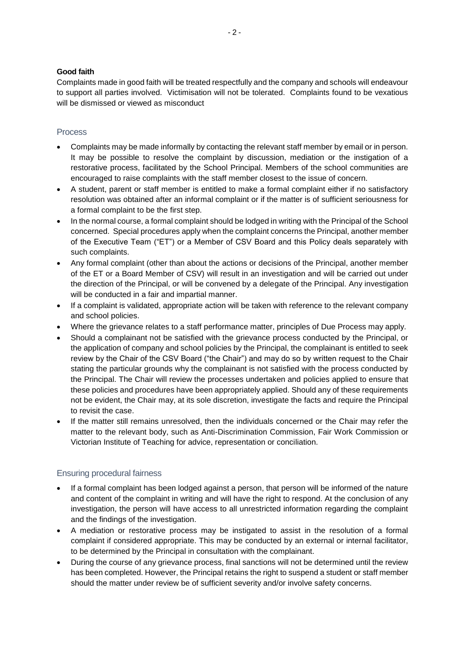# **Good faith**

Complaints made in good faith will be treated respectfully and the company and schools will endeavour to support all parties involved. Victimisation will not be tolerated. Complaints found to be vexatious will be dismissed or viewed as misconduct

# **Process**

- Complaints may be made informally by contacting the relevant staff member by email or in person. It may be possible to resolve the complaint by discussion, mediation or the instigation of a restorative process, facilitated by the School Principal. Members of the school communities are encouraged to raise complaints with the staff member closest to the issue of concern.
- A student, parent or staff member is entitled to make a formal complaint either if no satisfactory resolution was obtained after an informal complaint or if the matter is of sufficient seriousness for a formal complaint to be the first step.
- In the normal course, a formal complaint should be lodged in writing with the Principal of the School concerned. Special procedures apply when the complaint concerns the Principal, another member of the Executive Team ("ET") or a Member of CSV Board and this Policy deals separately with such complaints.
- Any formal complaint (other than about the actions or decisions of the Principal, another member of the ET or a Board Member of CSV) will result in an investigation and will be carried out under the direction of the Principal, or will be convened by a delegate of the Principal. Any investigation will be conducted in a fair and impartial manner.
- If a complaint is validated, appropriate action will be taken with reference to the relevant company and school policies.
- Where the grievance relates to a staff performance matter, principles of Due Process may apply.
- Should a complainant not be satisfied with the grievance process conducted by the Principal, or the application of company and school policies by the Principal, the complainant is entitled to seek review by the Chair of the CSV Board ("the Chair") and may do so by written request to the Chair stating the particular grounds why the complainant is not satisfied with the process conducted by the Principal. The Chair will review the processes undertaken and policies applied to ensure that these policies and procedures have been appropriately applied. Should any of these requirements not be evident, the Chair may, at its sole discretion, investigate the facts and require the Principal to revisit the case.
- If the matter still remains unresolved, then the individuals concerned or the Chair may refer the matter to the relevant body, such as Anti-Discrimination Commission, Fair Work Commission or Victorian Institute of Teaching for advice, representation or conciliation.

# Ensuring procedural fairness

- If a formal complaint has been lodged against a person, that person will be informed of the nature and content of the complaint in writing and will have the right to respond. At the conclusion of any investigation, the person will have access to all unrestricted information regarding the complaint and the findings of the investigation.
- A mediation or restorative process may be instigated to assist in the resolution of a formal complaint if considered appropriate. This may be conducted by an external or internal facilitator, to be determined by the Principal in consultation with the complainant.
- During the course of any grievance process, final sanctions will not be determined until the review has been completed. However, the Principal retains the right to suspend a student or staff member should the matter under review be of sufficient severity and/or involve safety concerns.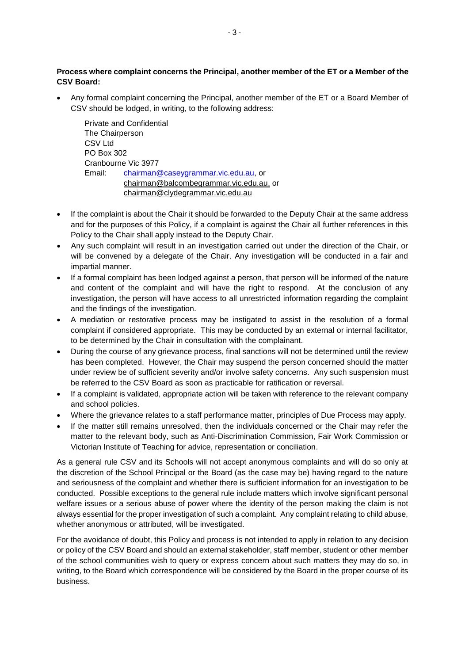# **Process where complaint concerns the Principal, another member of the ET or a Member of the CSV Board:**

 Any formal complaint concerning the Principal, another member of the ET or a Board Member of CSV should be lodged, in writing, to the following address:

Private and Confidential The Chairperson CSV Ltd PO Box 302 Cranbourne Vic 3977 Email: [chairman@caseygrammar.vic.edu.au,](mailto:chairman@caseygrammar.vic.edu.au) or [chairman@balcombegrammar.vic.edu.au,](mailto:chairman@balcombegrammar.vic.edu.au) or [chairman@clydegrammar.vic.edu.au](mailto:chairman@clydegrammar.vic.edu.au)

- If the complaint is about the Chair it should be forwarded to the Deputy Chair at the same address and for the purposes of this Policy, if a complaint is against the Chair all further references in this Policy to the Chair shall apply instead to the Deputy Chair.
- Any such complaint will result in an investigation carried out under the direction of the Chair, or will be convened by a delegate of the Chair. Any investigation will be conducted in a fair and impartial manner.
- If a formal complaint has been lodged against a person, that person will be informed of the nature and content of the complaint and will have the right to respond. At the conclusion of any investigation, the person will have access to all unrestricted information regarding the complaint and the findings of the investigation.
- A mediation or restorative process may be instigated to assist in the resolution of a formal complaint if considered appropriate. This may be conducted by an external or internal facilitator, to be determined by the Chair in consultation with the complainant.
- During the course of any grievance process, final sanctions will not be determined until the review has been completed. However, the Chair may suspend the person concerned should the matter under review be of sufficient severity and/or involve safety concerns. Any such suspension must be referred to the CSV Board as soon as practicable for ratification or reversal.
- If a complaint is validated, appropriate action will be taken with reference to the relevant company and school policies.
- Where the grievance relates to a staff performance matter, principles of Due Process may apply.
- If the matter still remains unresolved, then the individuals concerned or the Chair may refer the matter to the relevant body, such as Anti-Discrimination Commission, Fair Work Commission or Victorian Institute of Teaching for advice, representation or conciliation.

As a general rule CSV and its Schools will not accept anonymous complaints and will do so only at the discretion of the School Principal or the Board (as the case may be) having regard to the nature and seriousness of the complaint and whether there is sufficient information for an investigation to be conducted. Possible exceptions to the general rule include matters which involve significant personal welfare issues or a serious abuse of power where the identity of the person making the claim is not always essential for the proper investigation of such a complaint. Any complaint relating to child abuse, whether anonymous or attributed, will be investigated.

For the avoidance of doubt, this Policy and process is not intended to apply in relation to any decision or policy of the CSV Board and should an external stakeholder, staff member, student or other member of the school communities wish to query or express concern about such matters they may do so, in writing, to the Board which correspondence will be considered by the Board in the proper course of its business.